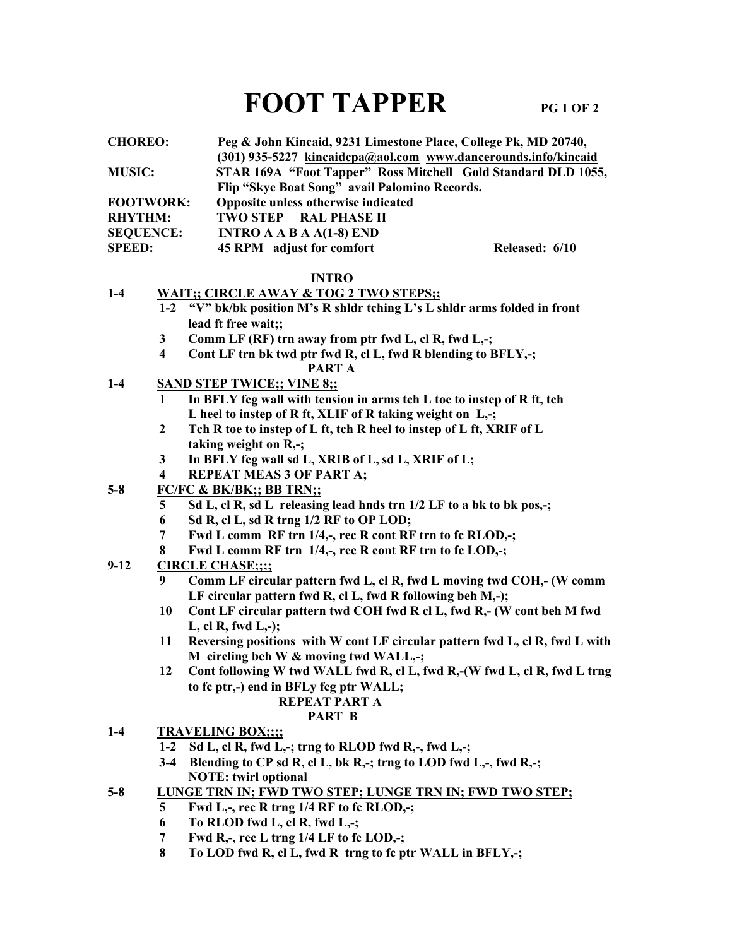# FOOT TAPPER PG 1 OF 2

| <b>CHOREO:</b>   | Peg & John Kincaid, 9231 Limestone Place, College Pk, MD 20740,  |                |
|------------------|------------------------------------------------------------------|----------------|
|                  | $(301)$ 935-5227 kincaidcpa@aol.com www.dancerounds.info/kincaid |                |
| <b>MUSIC:</b>    | STAR 169A "Foot Tapper" Ross Mitchell Gold Standard DLD 1055,    |                |
|                  | Flip "Skye Boat Song" avail Palomino Records.                    |                |
| <b>FOOTWORK:</b> | Opposite unless otherwise indicated                              |                |
| <b>RHYTHM:</b>   | <b>TWO STEP RAL PHASE II</b>                                     |                |
| <b>SEQUENCE:</b> | INTRO A A B A $A(1-8)$ END                                       |                |
| <b>SPEED:</b>    | 45 RPM adjust for comfort                                        | Released: 6/10 |
|                  |                                                                  |                |

#### INTRO

#### 1-4 WAIT:: CIRCLE AWAY & TOG 2 TWO STEPS::

- 1-2 "V" bk/bk position M's R shldr tching L's L shldr arms folded in front lead ft free wait;;
	- 3 Comm LF (RF) trn away from ptr fwd L, cl R, fwd L,-;
	- 4 Cont LF trn bk twd ptr fwd R, cl L, fwd R blending to BFLY,-; PART A
- 1-4 SAND STEP TWICE;; VINE 8;;
	- 1 In BFLY fcg wall with tension in arms tch L toe to instep of R ft, tch L heel to instep of R ft, XLIF of R taking weight on L,-;
	- 2 Tch R toe to instep of L ft, tch R heel to instep of L ft, XRIF of L taking weight on R,-;
	- 3 In BFLY fcg wall sd L, XRIB of L, sd L, XRIF of L;
	- 4 REPEAT MEAS 3 OF PART A;
- 5-8 FC/FC & BK/BK;; BB TRN;;
	- 5 Sd L, cl R, sd L releasing lead hnds trn 1/2 LF to a bk to bk pos,-;
	- 6 Sd R, cl L, sd R trng 1/2 RF to OP LOD;
	- 7 Fwd L comm RF trn 1/4,-, rec R cont RF trn to fc RLOD,-;
	- 8 Fwd L comm RF trn 1/4,-, rec R cont RF trn to fc LOD,-;
- 9-12 CIRCLE CHASE;;;;
	- 9 Comm LF circular pattern fwd L, cl R, fwd L moving twd COH,- (W comm LF circular pattern fwd R, cl L, fwd R following beh M,-);
	- 10 Cont LF circular pattern twd COH fwd R cl L, fwd R,- (W cont beh M fwd L, cl R, fwd L,-);
	- 11 Reversing positions with W cont LF circular pattern fwd L, cl R, fwd L with M circling beh W & moving twd WALL,-;
	- 12 Cont following W twd WALL fwd R, cl L, fwd R,-(W fwd L, cl R, fwd L trng to fc ptr,-) end in BFLy fcg ptr WALL;

#### REPEAT PART A

#### PART B

- 1-4 TRAVELING BOX;;;;
	- 1-2 Sd L, cl R, fwd L,-; trng to RLOD fwd R,-, fwd L,-;
	- 3-4 Blending to CP sd R, cl L, bk R,-; trng to LOD fwd L,-, fwd R,-; NOTE: twirl optional
- 5-8 LUNGE TRN IN; FWD TWO STEP; LUNGE TRN IN; FWD TWO STEP;
	- 5 Fwd L,-, rec R trng 1/4 RF to fc RLOD,-;
	- 6 To RLOD fwd L, cl R, fwd L,-;
	- 7 Fwd R,-, rec L trng 1/4 LF to fc LOD,-;
	- 8 To LOD fwd R, cl L, fwd R trng to fc ptr WALL in BFLY,-;